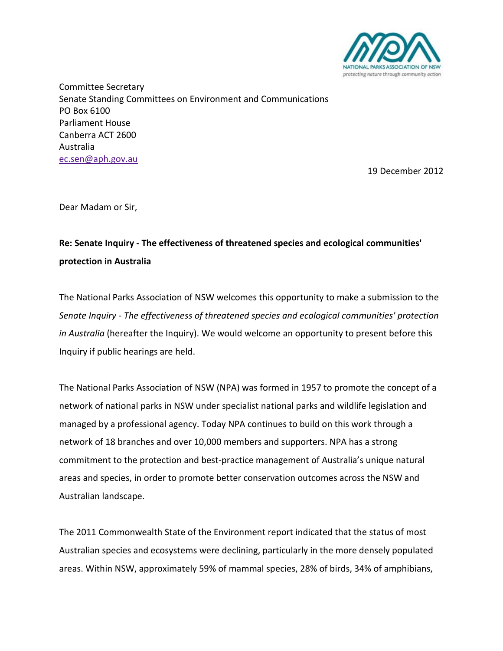

Committee Secretary Senate Standing Committees on Environment and Communications PO Box 6100 Parliament House Canberra ACT 2600 Australia [ec.sen@aph.gov.au](mailto:ec.sen@aph.gov.au)

19 December 2012

Dear Madam or Sir,

# **Re: Senate Inquiry - The effectiveness of threatened species and ecological communities' protection in Australia**

The National Parks Association of NSW welcomes this opportunity to make a submission to the *Senate Inquiry - The effectiveness of threatened species and ecological communities' protection in Australia* (hereafter the Inquiry). We would welcome an opportunity to present before this Inquiry if public hearings are held.

The National Parks Association of NSW (NPA) was formed in 1957 to promote the concept of a network of national parks in NSW under specialist national parks and wildlife legislation and managed by a professional agency. Today NPA continues to build on this work through a network of 18 branches and over 10,000 members and supporters. NPA has a strong commitment to the protection and best-practice management of Australia's unique natural areas and species, in order to promote better conservation outcomes across the NSW and Australian landscape.

The 2011 Commonwealth State of the Environment report indicated that the status of most Australian species and ecosystems were declining, particularly in the more densely populated areas. Within NSW, approximately 59% of mammal species, 28% of birds, 34% of amphibians,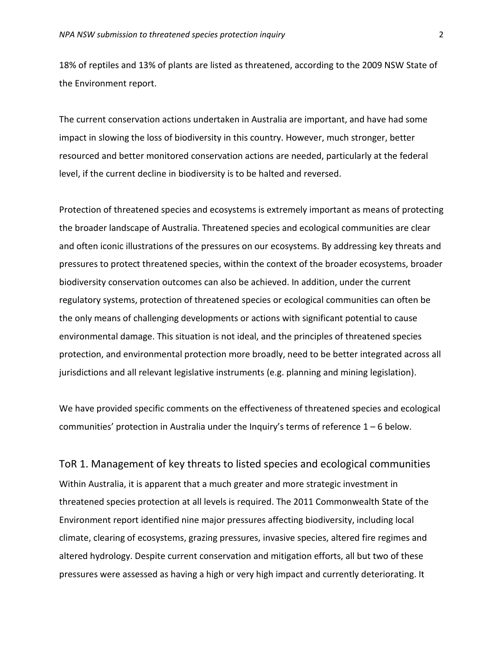18% of reptiles and 13% of plants are listed as threatened, according to the 2009 NSW State of the Environment report.

The current conservation actions undertaken in Australia are important, and have had some impact in slowing the loss of biodiversity in this country. However, much stronger, better resourced and better monitored conservation actions are needed, particularly at the federal level, if the current decline in biodiversity is to be halted and reversed.

Protection of threatened species and ecosystems is extremely important as means of protecting the broader landscape of Australia. Threatened species and ecological communities are clear and often iconic illustrations of the pressures on our ecosystems. By addressing key threats and pressures to protect threatened species, within the context of the broader ecosystems, broader biodiversity conservation outcomes can also be achieved. In addition, under the current regulatory systems, protection of threatened species or ecological communities can often be the only means of challenging developments or actions with significant potential to cause environmental damage. This situation is not ideal, and the principles of threatened species protection, and environmental protection more broadly, need to be better integrated across all jurisdictions and all relevant legislative instruments (e.g. planning and mining legislation).

We have provided specific comments on the effectiveness of threatened species and ecological communities' protection in Australia under the Inquiry's terms of reference 1 – 6 below.

ToR 1. Management of key threats to listed species and ecological communities Within Australia, it is apparent that a much greater and more strategic investment in threatened species protection at all levels is required. The 2011 Commonwealth State of the Environment report identified nine major pressures affecting biodiversity, including local climate, clearing of ecosystems, grazing pressures, invasive species, altered fire regimes and altered hydrology. Despite current conservation and mitigation efforts, all but two of these pressures were assessed as having a high or very high impact and currently deteriorating. It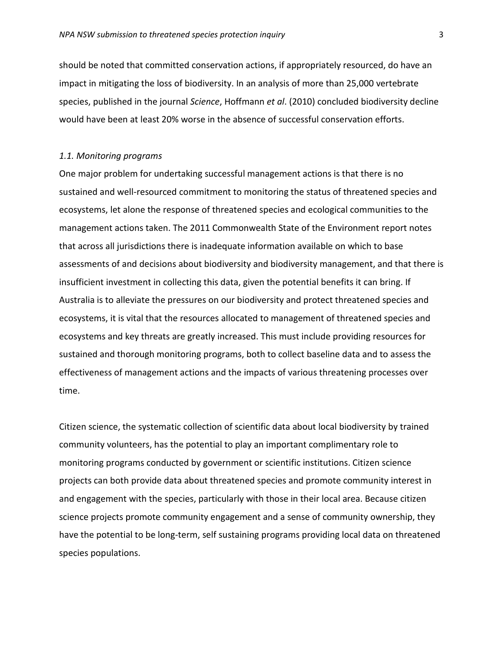should be noted that committed conservation actions, if appropriately resourced, do have an impact in mitigating the loss of biodiversity. In an analysis of more than 25,000 vertebrate species, published in the journal *Science*, Hoffmann *et al*. (2010) concluded biodiversity decline would have been at least 20% worse in the absence of successful conservation efforts.

#### *1.1. Monitoring programs*

One major problem for undertaking successful management actions is that there is no sustained and well-resourced commitment to monitoring the status of threatened species and ecosystems, let alone the response of threatened species and ecological communities to the management actions taken. The 2011 Commonwealth State of the Environment report notes that across all jurisdictions there is inadequate information available on which to base assessments of and decisions about biodiversity and biodiversity management, and that there is insufficient investment in collecting this data, given the potential benefits it can bring. If Australia is to alleviate the pressures on our biodiversity and protect threatened species and ecosystems, it is vital that the resources allocated to management of threatened species and ecosystems and key threats are greatly increased. This must include providing resources for sustained and thorough monitoring programs, both to collect baseline data and to assess the effectiveness of management actions and the impacts of various threatening processes over time.

Citizen science, the systematic collection of scientific data about local biodiversity by trained community volunteers, has the potential to play an important complimentary role to monitoring programs conducted by government or scientific institutions. Citizen science projects can both provide data about threatened species and promote community interest in and engagement with the species, particularly with those in their local area. Because citizen science projects promote community engagement and a sense of community ownership, they have the potential to be long-term, self sustaining programs providing local data on threatened species populations.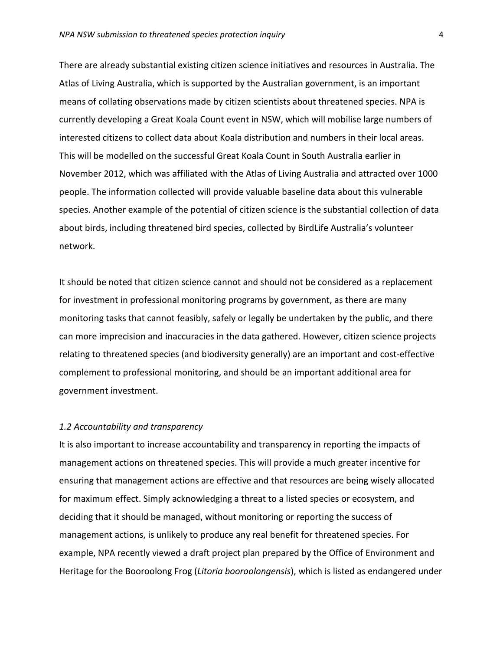There are already substantial existing citizen science initiatives and resources in Australia. The Atlas of Living Australia, which is supported by the Australian government, is an important means of collating observations made by citizen scientists about threatened species. NPA is currently developing a Great Koala Count event in NSW, which will mobilise large numbers of interested citizens to collect data about Koala distribution and numbers in their local areas. This will be modelled on the successful Great Koala Count in South Australia earlier in November 2012, which was affiliated with the Atlas of Living Australia and attracted over 1000 people. The information collected will provide valuable baseline data about this vulnerable species. Another example of the potential of citizen science is the substantial collection of data about birds, including threatened bird species, collected by BirdLife Australia's volunteer network.

It should be noted that citizen science cannot and should not be considered as a replacement for investment in professional monitoring programs by government, as there are many monitoring tasks that cannot feasibly, safely or legally be undertaken by the public, and there can more imprecision and inaccuracies in the data gathered. However, citizen science projects relating to threatened species (and biodiversity generally) are an important and cost-effective complement to professional monitoring, and should be an important additional area for government investment.

## *1.2 Accountability and transparency*

It is also important to increase accountability and transparency in reporting the impacts of management actions on threatened species. This will provide a much greater incentive for ensuring that management actions are effective and that resources are being wisely allocated for maximum effect. Simply acknowledging a threat to a listed species or ecosystem, and deciding that it should be managed, without monitoring or reporting the success of management actions, is unlikely to produce any real benefit for threatened species. For example, NPA recently viewed a draft project plan prepared by the Office of Environment and Heritage for the Booroolong Frog (*Litoria booroolongensis*), which is listed as endangered under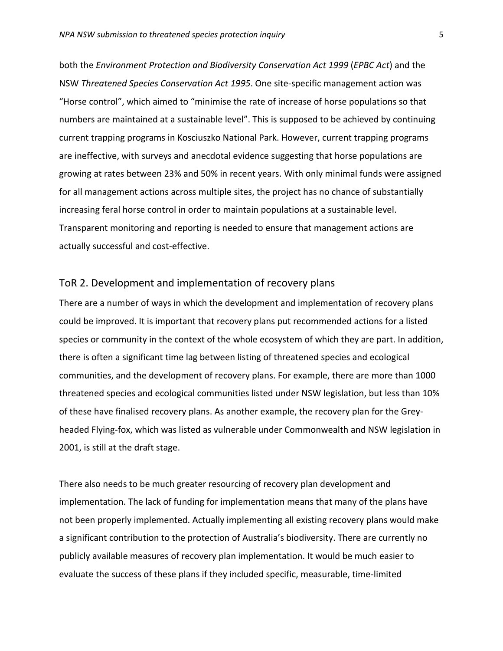both the *Environment Protection and Biodiversity Conservation Act 1999* (*EPBC Act*) and the NSW *Threatened Species Conservation Act 1995*. One site-specific management action was "Horse control", which aimed to "minimise the rate of increase of horse populations so that numbers are maintained at a sustainable level". This is supposed to be achieved by continuing current trapping programs in Kosciuszko National Park. However, current trapping programs are ineffective, with surveys and anecdotal evidence suggesting that horse populations are growing at rates between 23% and 50% in recent years. With only minimal funds were assigned for all management actions across multiple sites, the project has no chance of substantially increasing feral horse control in order to maintain populations at a sustainable level. Transparent monitoring and reporting is needed to ensure that management actions are actually successful and cost-effective.

# ToR 2. Development and implementation of recovery plans

There are a number of ways in which the development and implementation of recovery plans could be improved. It is important that recovery plans put recommended actions for a listed species or community in the context of the whole ecosystem of which they are part. In addition, there is often a significant time lag between listing of threatened species and ecological communities, and the development of recovery plans. For example, there are more than 1000 threatened species and ecological communities listed under NSW legislation, but less than 10% of these have finalised recovery plans. As another example, the recovery plan for the Greyheaded Flying-fox, which was listed as vulnerable under Commonwealth and NSW legislation in 2001, is still at the draft stage.

There also needs to be much greater resourcing of recovery plan development and implementation. The lack of funding for implementation means that many of the plans have not been properly implemented. Actually implementing all existing recovery plans would make a significant contribution to the protection of Australia's biodiversity. There are currently no publicly available measures of recovery plan implementation. It would be much easier to evaluate the success of these plans if they included specific, measurable, time-limited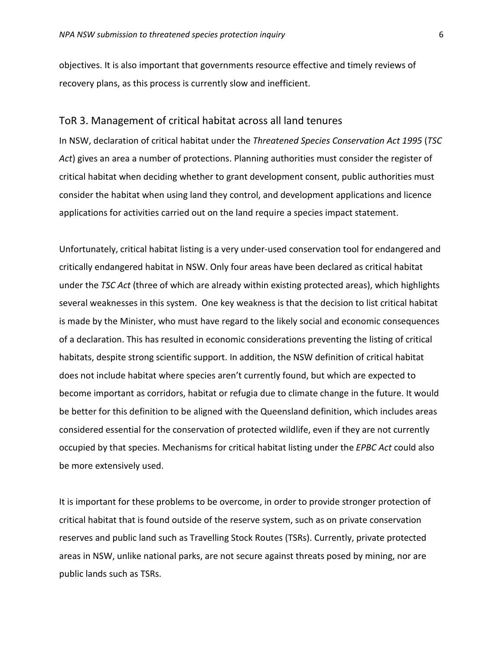objectives. It is also important that governments resource effective and timely reviews of recovery plans, as this process is currently slow and inefficient.

## ToR 3. Management of critical habitat across all land tenures

In NSW, declaration of critical habitat under the *Threatened Species Conservation Act 1995* (*TSC Act*) gives an area a number of protections. Planning authorities must consider the register of critical habitat when deciding whether to grant development consent, public authorities must consider the habitat when using land they control, and development applications and licence applications for activities carried out on the land require a species impact statement.

Unfortunately, critical habitat listing is a very under-used conservation tool for endangered and critically endangered habitat in NSW. Only four areas have been declared as critical habitat under the *TSC Act* (three of which are already within existing protected areas), which highlights several weaknesses in this system. One key weakness is that the decision to list critical habitat is made by the Minister, who must have regard to the likely social and economic consequences of a declaration. This has resulted in economic considerations preventing the listing of critical habitats, despite strong scientific support. In addition, the NSW definition of critical habitat does not include habitat where species aren't currently found, but which are expected to become important as corridors, habitat or refugia due to climate change in the future. It would be better for this definition to be aligned with the Queensland definition, which includes areas considered essential for the conservation of protected wildlife, even if they are not currently occupied by that species. Mechanisms for critical habitat listing under the *EPBC Act* could also be more extensively used.

It is important for these problems to be overcome, in order to provide stronger protection of critical habitat that is found outside of the reserve system, such as on private conservation reserves and public land such as Travelling Stock Routes (TSRs). Currently, private protected areas in NSW, unlike national parks, are not secure against threats posed by mining, nor are public lands such as TSRs.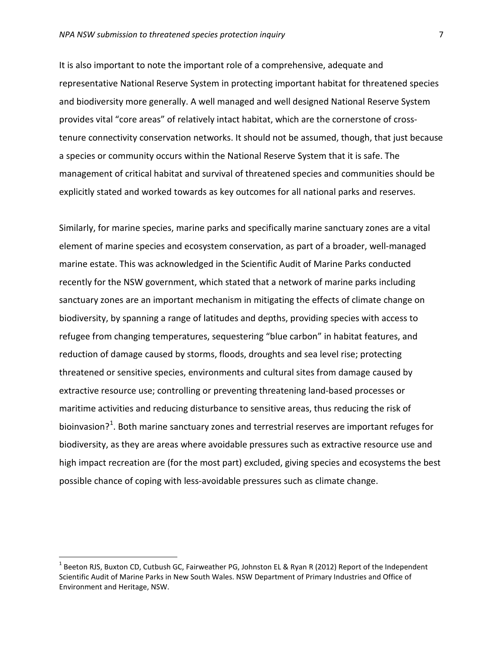It is also important to note the important role of a comprehensive, adequate and representative National Reserve System in protecting important habitat for threatened species and biodiversity more generally. A well managed and well designed National Reserve System provides vital "core areas" of relatively intact habitat, which are the cornerstone of crosstenure connectivity conservation networks. It should not be assumed, though, that just because a species or community occurs within the National Reserve System that it is safe. The management of critical habitat and survival of threatened species and communities should be explicitly stated and worked towards as key outcomes for all national parks and reserves.

Similarly, for marine species, marine parks and specifically marine sanctuary zones are a vital element of marine species and ecosystem conservation, as part of a broader, well-managed marine estate. This was acknowledged in the Scientific Audit of Marine Parks conducted recently for the NSW government, which stated that a network of marine parks including sanctuary zones are an important mechanism in mitigating the effects of climate change on biodiversity, by spanning a range of latitudes and depths, providing species with access to refugee from changing temperatures, sequestering "blue carbon" in habitat features, and reduction of damage caused by storms, floods, droughts and sea level rise; protecting threatened or sensitive species, environments and cultural sites from damage caused by extractive resource use; controlling or preventing threatening land-based processes or maritime activities and reducing disturbance to sensitive areas, thus reducing the risk of bioinvasion?<sup>[1](#page-6-0)</sup>. Both marine sanctuary zones and terrestrial reserves are important refuges for biodiversity, as they are areas where avoidable pressures such as extractive resource use and high impact recreation are (for the most part) excluded, giving species and ecosystems the best possible chance of coping with less-avoidable pressures such as climate change.

<span id="page-6-0"></span><sup>&</sup>lt;sup>1</sup> Beeton RJS, Buxton CD, Cutbush GC, Fairweather PG, Johnston EL & Ryan R (2012) Report of the Independent Scientific Audit of Marine Parks in New South Wales. NSW Department of Primary Industries and Office of Environment and Heritage, NSW.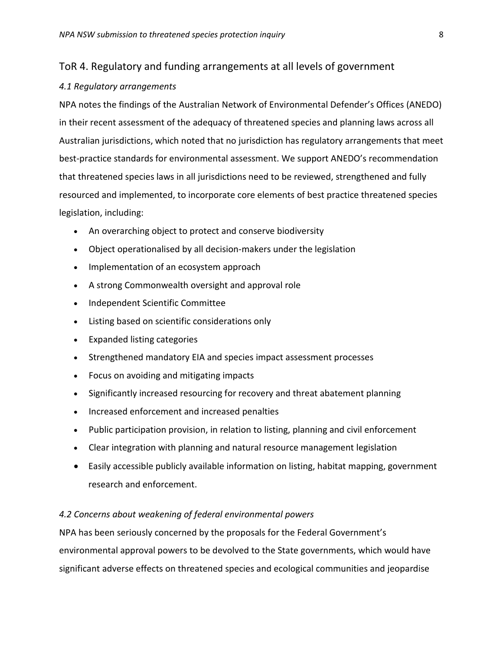# ToR 4. Regulatory and funding arrangements at all levels of government

## *4.1 Regulatory arrangements*

NPA notes the findings of the Australian Network of Environmental Defender's Offices (ANEDO) in their recent assessment of the adequacy of threatened species and planning laws across all Australian jurisdictions, which noted that no jurisdiction has regulatory arrangements that meet best-practice standards for environmental assessment. We support ANEDO's recommendation that threatened species laws in all jurisdictions need to be reviewed, strengthened and fully resourced and implemented, to incorporate core elements of best practice threatened species legislation, including:

- An overarching object to protect and conserve biodiversity
- Object operationalised by all decision-makers under the legislation
- Implementation of an ecosystem approach
- A strong Commonwealth oversight and approval role
- Independent Scientific Committee
- Listing based on scientific considerations only
- Expanded listing categories
- Strengthened mandatory EIA and species impact assessment processes
- Focus on avoiding and mitigating impacts
- Significantly increased resourcing for recovery and threat abatement planning
- Increased enforcement and increased penalties
- Public participation provision, in relation to listing, planning and civil enforcement
- Clear integration with planning and natural resource management legislation
- Easily accessible publicly available information on listing, habitat mapping, government research and enforcement.

## *4.2 Concerns about weakening of federal environmental powers*

NPA has been seriously concerned by the proposals for the Federal Government's environmental approval powers to be devolved to the State governments, which would have significant adverse effects on threatened species and ecological communities and jeopardise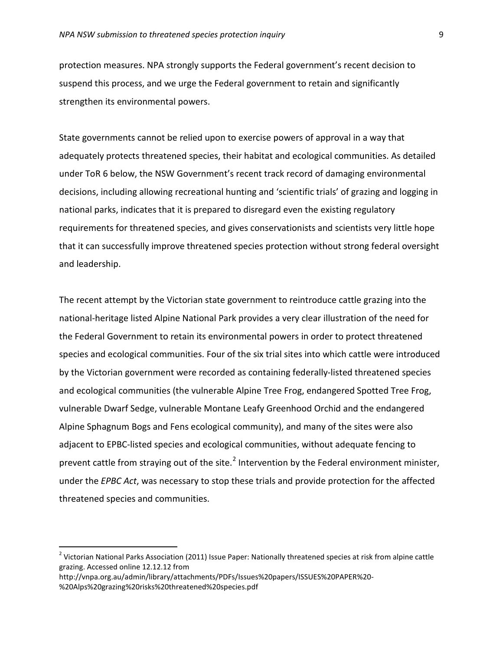protection measures. NPA strongly supports the Federal government's recent decision to suspend this process, and we urge the Federal government to retain and significantly strengthen its environmental powers.

State governments cannot be relied upon to exercise powers of approval in a way that adequately protects threatened species, their habitat and ecological communities. As detailed under ToR 6 below, the NSW Government's recent track record of damaging environmental decisions, including allowing recreational hunting and 'scientific trials' of grazing and logging in national parks, indicates that it is prepared to disregard even the existing regulatory requirements for threatened species, and gives conservationists and scientists very little hope that it can successfully improve threatened species protection without strong federal oversight and leadership.

The recent attempt by the Victorian state government to reintroduce cattle grazing into the national-heritage listed Alpine National Park provides a very clear illustration of the need for the Federal Government to retain its environmental powers in order to protect threatened species and ecological communities. Four of the six trial sites into which cattle were introduced by the Victorian government were recorded as containing federally-listed threatened species and ecological communities (the vulnerable Alpine Tree Frog, endangered Spotted Tree Frog, vulnerable Dwarf Sedge, vulnerable Montane Leafy Greenhood Orchid and the endangered Alpine Sphagnum Bogs and Fens ecological community), and many of the sites were also adjacent to EPBC-listed species and ecological communities, without adequate fencing to prevent cattle from straying out of the site.<sup>[2](#page-8-0)</sup> Intervention by the Federal environment minister, under the *EPBC Act*, was necessary to stop these trials and provide protection for the affected threatened species and communities.

<span id="page-8-0"></span><sup>&</sup>lt;sup>2</sup> Victorian National Parks Association (2011) Issue Paper: Nationally threatened species at risk from alpine cattle grazing. Accessed online 12.12.12 from

http://vnpa.org.au/admin/library/attachments/PDFs/Issues%20papers/ISSUES%20PAPER%20- %20Alps%20grazing%20risks%20threatened%20species.pdf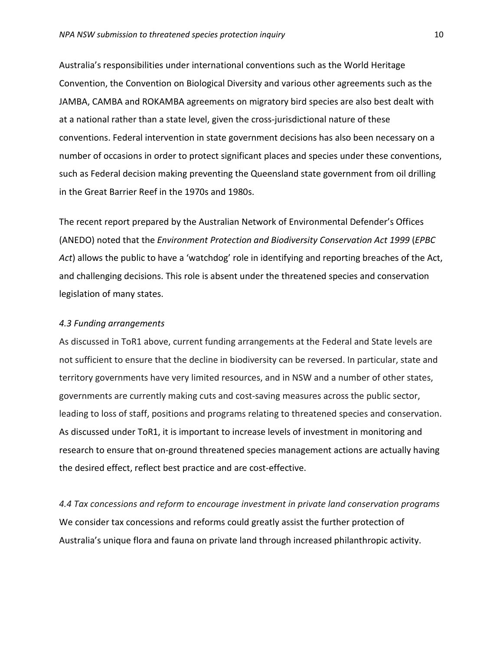Australia's responsibilities under international conventions such as the World Heritage Convention, the Convention on Biological Diversity and various other agreements such as the JAMBA, CAMBA and ROKAMBA agreements on migratory bird species are also best dealt with at a national rather than a state level, given the cross-jurisdictional nature of these conventions. Federal intervention in state government decisions has also been necessary on a number of occasions in order to protect significant places and species under these conventions, such as Federal decision making preventing the Queensland state government from oil drilling in the Great Barrier Reef in the 1970s and 1980s.

The recent report prepared by the Australian Network of Environmental Defender's Offices (ANEDO) noted that the *Environment Protection and Biodiversity Conservation Act 1999* (*EPBC Act*) allows the public to have a 'watchdog' role in identifying and reporting breaches of the Act, and challenging decisions. This role is absent under the threatened species and conservation legislation of many states.

### *4.3 Funding arrangements*

As discussed in ToR1 above, current funding arrangements at the Federal and State levels are not sufficient to ensure that the decline in biodiversity can be reversed. In particular, state and territory governments have very limited resources, and in NSW and a number of other states, governments are currently making cuts and cost-saving measures across the public sector, leading to loss of staff, positions and programs relating to threatened species and conservation. As discussed under ToR1, it is important to increase levels of investment in monitoring and research to ensure that on-ground threatened species management actions are actually having the desired effect, reflect best practice and are cost-effective.

*4.4 Tax concessions and reform to encourage investment in private land conservation programs* We consider tax concessions and reforms could greatly assist the further protection of Australia's unique flora and fauna on private land through increased philanthropic activity.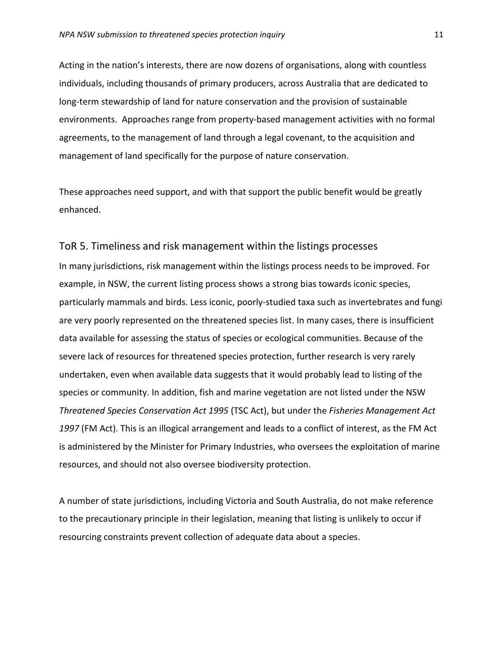Acting in the nation's interests, there are now dozens of organisations, along with countless individuals, including thousands of primary producers, across Australia that are dedicated to long-term stewardship of land for nature conservation and the provision of sustainable environments. Approaches range from property-based management activities with no formal agreements, to the management of land through a legal covenant, to the acquisition and management of land specifically for the purpose of nature conservation.

These approaches need support, and with that support the public benefit would be greatly enhanced.

# ToR 5. Timeliness and risk management within the listings processes

In many jurisdictions, risk management within the listings process needs to be improved. For example, in NSW, the current listing process shows a strong bias towards iconic species, particularly mammals and birds. Less iconic, poorly-studied taxa such as invertebrates and fungi are very poorly represented on the threatened species list. In many cases, there is insufficient data available for assessing the status of species or ecological communities. Because of the severe lack of resources for threatened species protection, further research is very rarely undertaken, even when available data suggests that it would probably lead to listing of the species or community. In addition, fish and marine vegetation are not listed under the NSW *Threatened Species Conservation Act 1995* (TSC Act), but under the *Fisheries Management Act 1997* (FM Act). This is an illogical arrangement and leads to a conflict of interest, as the FM Act is administered by the Minister for Primary Industries, who oversees the exploitation of marine resources, and should not also oversee biodiversity protection.

A number of state jurisdictions, including Victoria and South Australia, do not make reference to the precautionary principle in their legislation, meaning that listing is unlikely to occur if resourcing constraints prevent collection of adequate data about a species.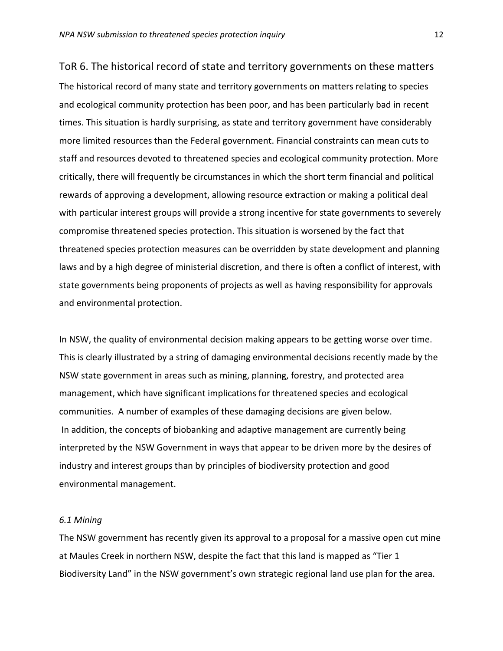ToR 6. The historical record of state and territory governments on these matters The historical record of many state and territory governments on matters relating to species and ecological community protection has been poor, and has been particularly bad in recent times. This situation is hardly surprising, as state and territory government have considerably more limited resources than the Federal government. Financial constraints can mean cuts to staff and resources devoted to threatened species and ecological community protection. More critically, there will frequently be circumstances in which the short term financial and political rewards of approving a development, allowing resource extraction or making a political deal with particular interest groups will provide a strong incentive for state governments to severely compromise threatened species protection. This situation is worsened by the fact that threatened species protection measures can be overridden by state development and planning laws and by a high degree of ministerial discretion, and there is often a conflict of interest, with state governments being proponents of projects as well as having responsibility for approvals and environmental protection.

In NSW, the quality of environmental decision making appears to be getting worse over time. This is clearly illustrated by a string of damaging environmental decisions recently made by the NSW state government in areas such as mining, planning, forestry, and protected area management, which have significant implications for threatened species and ecological communities. A number of examples of these damaging decisions are given below. In addition, the concepts of biobanking and adaptive management are currently being interpreted by the NSW Government in ways that appear to be driven more by the desires of industry and interest groups than by principles of biodiversity protection and good environmental management.

## *6.1 Mining*

The NSW government has recently given its approval to a proposal for a massive open cut mine at Maules Creek in northern NSW, despite the fact that this land is mapped as "Tier 1 Biodiversity Land" in the NSW government's own strategic regional land use plan for the area.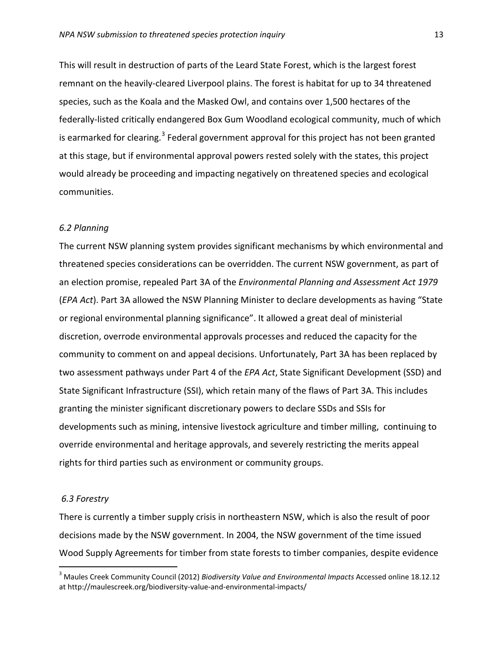This will result in destruction of parts of the Leard State Forest, which is the largest forest remnant on the heavily-cleared Liverpool plains. The forest is habitat for up to 34 threatened species, such as the Koala and the Masked Owl, and contains over 1,500 hectares of the federally-listed critically endangered Box Gum Woodland ecological community, much of which is earmarked for clearing.<sup>[3](#page-12-0)</sup> Federal government approval for this project has not been granted at this stage, but if environmental approval powers rested solely with the states, this project would already be proceeding and impacting negatively on threatened species and ecological communities.

### *6.2 Planning*

The current NSW planning system provides significant mechanisms by which environmental and threatened species considerations can be overridden. The current NSW government, as part of an election promise, repealed Part 3A of the *Environmental Planning and Assessment Act 1979* (*EPA Act*). Part 3A allowed the NSW Planning Minister to declare developments as having "State or regional environmental planning significance". It allowed a great deal of ministerial discretion, overrode environmental approvals processes and reduced the capacity for the community to comment on and appeal decisions. Unfortunately, Part 3A has been replaced by two assessment pathways under Part 4 of the *EPA Act*, State Significant Development (SSD) and State Significant Infrastructure (SSI), which retain many of the flaws of Part 3A. This includes granting the minister significant discretionary powers to declare SSDs and SSIs for developments such as mining, intensive livestock agriculture and timber milling, continuing to override environmental and heritage approvals, and severely restricting the merits appeal rights for third parties such as environment or community groups.

#### *6.3 Forestry*

There is currently a timber supply crisis in northeastern NSW, which is also the result of poor decisions made by the NSW government. In 2004, the NSW government of the time issued Wood Supply Agreements for timber from state forests to timber companies, despite evidence

<span id="page-12-0"></span> <sup>3</sup> Maules Creek Community Council (2012) *Biodiversity Value and Environmental Impacts* Accessed online 18.12.12 at http://maulescreek.org/biodiversity-value-and-environmental-impacts/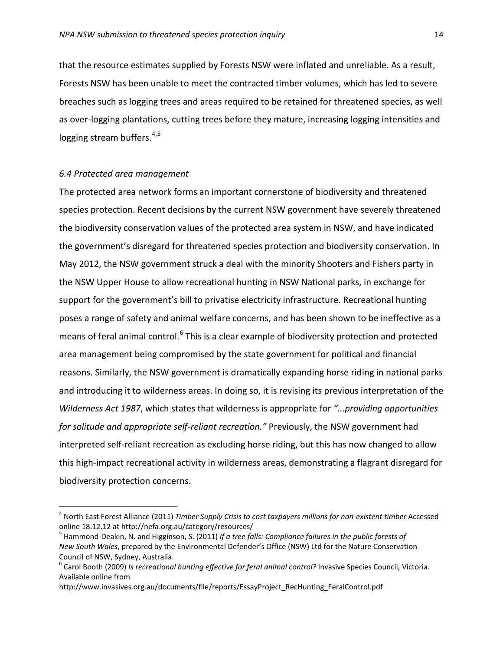that the resource estimates supplied by Forests NSW were inflated and unreliable. As a result, Forests NSW has been unable to meet the contracted timber volumes, which has led to severe breaches such as logging trees and areas required to be retained for threatened species, as well as over-logging plantations, cutting trees before they mature, increasing logging intensities and logging stream buffers.<sup>[4](#page-13-0),[5](#page-13-1)</sup>

### *6.4 Protected area management*

The protected area network forms an important cornerstone of biodiversity and threatened species protection. Recent decisions by the current NSW government have severely threatened the biodiversity conservation values of the protected area system in NSW, and have indicated the government's disregard for threatened species protection and biodiversity conservation. In May 2012, the NSW government struck a deal with the minority Shooters and Fishers party in the NSW Upper House to allow recreational hunting in NSW National parks, in exchange for support for the government's bill to privatise electricity infrastructure. Recreational hunting poses a range of safety and animal welfare concerns, and has been shown to be ineffective as a means of feral animal control.<sup>[6](#page-13-2)</sup> This is a clear example of biodiversity protection and protected area management being compromised by the state government for political and financial reasons. Similarly, the NSW government is dramatically expanding horse riding in national parks and introducing it to wilderness areas. In doing so, it is revising its previous interpretation of the *Wilderness Act 1987*, which states that wilderness is appropriate for *"...providing opportunities for solitude and appropriate self-reliant recreation."* Previously, the NSW government had interpreted self-reliant recreation as excluding horse riding, but this has now changed to allow this high-impact recreational activity in wilderness areas, demonstrating a flagrant disregard for biodiversity protection concerns.

<span id="page-13-0"></span><sup>&</sup>lt;sup>4</sup> North East Forest Alliance (2011) *Timber Supply Crisis to cost taxpayers millions for non-existent timber Accessed* online 18.12.12 at http://nefa.org.au/category/resources/

<span id="page-13-1"></span><sup>5</sup> Hammond-Deakin, N. and Higginson, S. (2011) *If a tree falls: Compliance failures in the public forests of New South Wales*, prepared by the Environmental Defender's Office (NSW) Ltd for the Nature Conservation Council of NSW, Sydney, Australia.<br><sup>6</sup> Carol Booth (2009) *Is recreational hunting effective for feral animal control?* Invasive Species Council, Victoria.

<span id="page-13-2"></span>Available online from

http://www.invasives.org.au/documents/file/reports/EssayProject\_RecHunting\_FeralControl.pdf